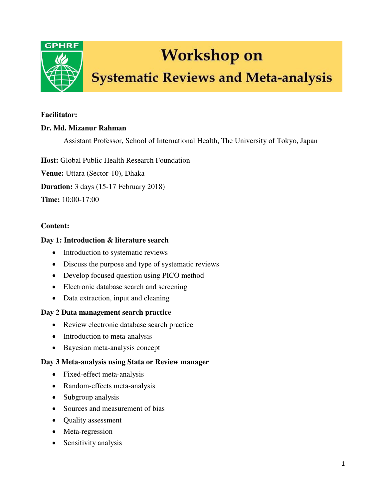

# **Workshop on**

# **Systematic Reviews and Meta-analysis**

#### **Facilitator:**

### **Dr. Md. Mizanur Rahman**

Assistant Professor, School of International Health, The University of Tokyo, Japan

**Host:** Global Public Health Research Foundation

**Venue:** Uttara (Sector-10), Dhaka

**Duration:** 3 days (15-17 February 2018)

**Time:** 10:00-17:00

#### **Content:**

#### **Day 1: Introduction & literature search**

- Introduction to systematic reviews
- Discuss the purpose and type of systematic reviews
- Develop focused question using PICO method
- Electronic database search and screening
- Data extraction, input and cleaning

#### **Day 2 Data management search practice**

- Review electronic database search practice
- Introduction to meta-analysis
- Bayesian meta-analysis concept

#### **Day 3 Meta-analysis using Stata or Review manager**

- Fixed-effect meta-analysis
- Random-effects meta-analysis
- Subgroup analysis
- Sources and measurement of bias
- Quality assessment
- Meta-regression
- Sensitivity analysis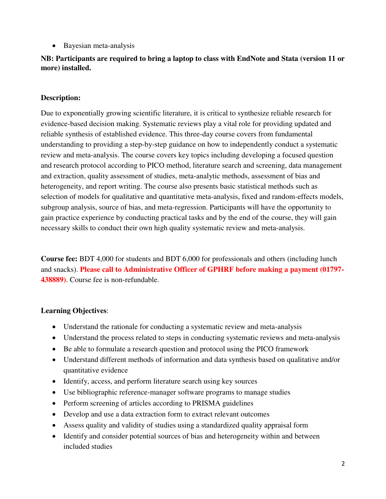• Bayesian meta-analysis

# **NB: Participants are required to bring a laptop to class with EndNote and Stata (version 11 or more) installed.**

### **Description:**

Due to exponentially growing scientific literature, it is critical to synthesize reliable research for evidence-based decision making. Systematic reviews play a vital role for providing updated and reliable synthesis of established evidence. This three-day course covers from fundamental understanding to providing a step-by-step guidance on how to independently conduct a systematic review and meta-analysis. The course covers key topics including developing a focused question and research protocol according to PICO method, literature search and screening, data management and extraction, quality assessment of studies, meta-analytic methods, assessment of bias and heterogeneity, and report writing. The course also presents basic statistical methods such as selection of models for qualitative and quantitative meta-analysis, fixed and random-effects models, subgroup analysis, source of bias, and meta-regression. Participants will have the opportunity to gain practice experience by conducting practical tasks and by the end of the course, they will gain necessary skills to conduct their own high quality systematic review and meta-analysis.

**Course fee:** BDT 4,000 for students and BDT 6,000 for professionals and others (including lunch and snacks). **Please call to Administrative Officer of GPHRF before making a payment (01797- 438889)**. Course fee is non-refundable.

# **Learning Objectives**:

- Understand the rationale for conducting a systematic review and meta-analysis
- Understand the process related to steps in conducting systematic reviews and meta-analysis
- Be able to formulate a research question and protocol using the PICO framework
- Understand different methods of information and data synthesis based on qualitative and/or quantitative evidence
- Identify, access, and perform literature search using key sources
- Use bibliographic reference-manager software programs to manage studies
- Perform screening of articles according to PRISMA guidelines
- Develop and use a data extraction form to extract relevant outcomes
- Assess quality and validity of studies using a standardized quality appraisal form
- Identify and consider potential sources of bias and heterogeneity within and between included studies